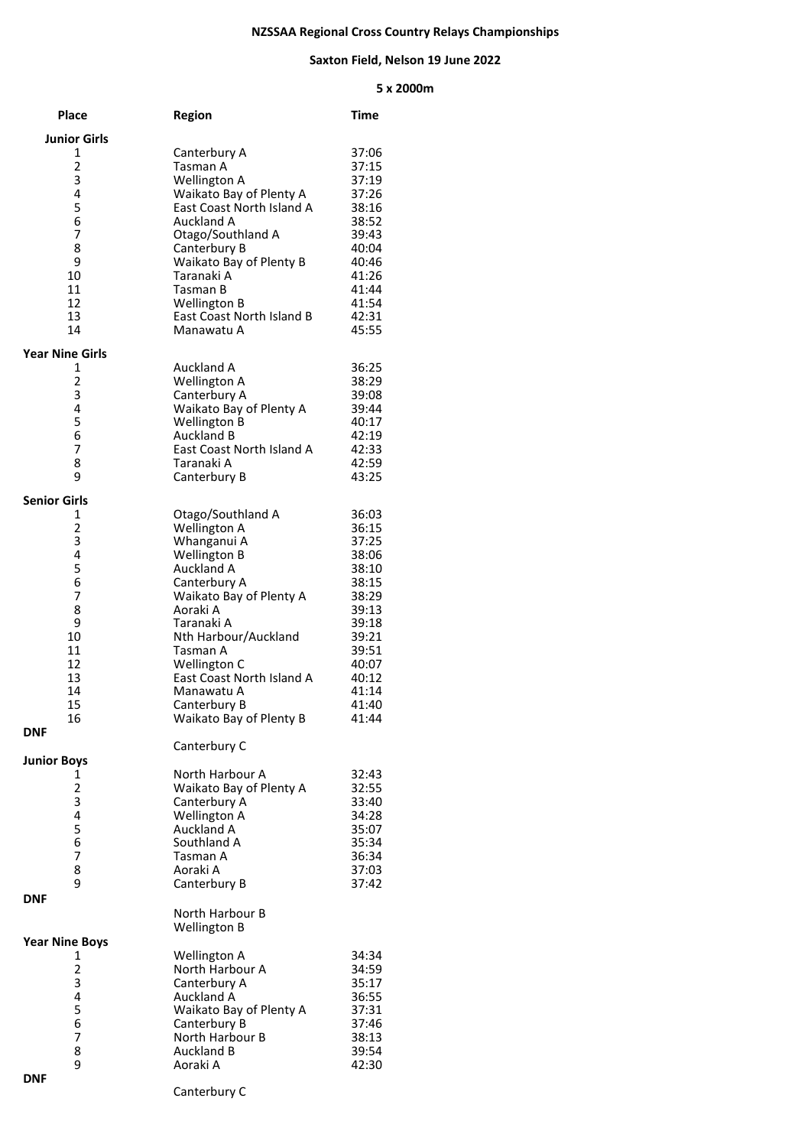## **NZSSAA Regional Cross Country Relays Championships**

## **Saxton Field, Nelson 19 June 2022**

## **x 2000m**

| <b>Place</b>                 | <b>Region</b>                                        | Time           |
|------------------------------|------------------------------------------------------|----------------|
| <b>Junior Girls</b>          |                                                      |                |
| 1                            | Canterbury A                                         | 37:06          |
| $\overline{\mathbf{c}}$      | Tasman A                                             | 37:15          |
| 3                            | <b>Wellington A</b>                                  | 37:19          |
| 4<br>5                       | Waikato Bay of Plenty A<br>East Coast North Island A | 37:26          |
| 6                            | <b>Auckland A</b>                                    | 38:16<br>38:52 |
| 7                            | Otago/Southland A                                    | 39:43          |
| 8                            | Canterbury B                                         | 40:04          |
| 9                            | Waikato Bay of Plenty B                              | 40:46          |
| 10                           | Taranaki A                                           | 41:26          |
| 11                           | Tasman B                                             | 41:44          |
| 12<br>13                     | <b>Wellington B</b><br>East Coast North Island B     | 41:54<br>42:31 |
| 14                           | Manawatu A                                           | 45:55          |
|                              |                                                      |                |
| <b>Year Nine Girls</b>       |                                                      |                |
| 1<br>2                       | Auckland A<br>Wellington A                           | 36:25          |
| 3                            | Canterbury A                                         | 38:29<br>39:08 |
| 4                            | Waikato Bay of Plenty A                              | 39:44          |
| 5                            | Wellington B                                         | 40:17          |
| 6                            | <b>Auckland B</b>                                    | 42:19          |
| 7                            | East Coast North Island A                            | 42:33          |
| 8                            | Taranaki A                                           | 42:59          |
| 9                            | Canterbury B                                         | 43:25          |
| Senior Girls                 |                                                      |                |
| 1                            | Otago/Southland A                                    | 36:03          |
| 2                            | Wellington A                                         | 36:15          |
| 3                            | Whanganui A                                          | 37:25          |
| 4                            | Wellington B                                         | 38:06          |
| 5<br>6                       | Auckland A<br>Canterbury A                           | 38:10<br>38:15 |
| 7                            | Waikato Bay of Plenty A                              | 38:29          |
| 8                            | Aoraki A                                             | 39:13          |
| 9                            | Taranaki A                                           | 39:18          |
| 10                           | Nth Harbour/Auckland                                 | 39:21          |
| 11                           | Tasman A                                             | 39:51          |
| 12                           | Wellington C                                         | 40:07          |
| 13<br>14                     | East Coast North Island A<br>Manawatu A              | 40:12<br>41:14 |
| 15                           | Canterbury B                                         | 41:40          |
| 16                           | Waikato Bay of Plenty B                              | 41:44          |
| <b>DNF</b>                   |                                                      |                |
|                              | Canterbury C                                         |                |
| <b>Junior Boys</b>           |                                                      |                |
| 1                            | North Harbour A                                      | 32:43          |
| $\overline{\mathbf{c}}$<br>3 | Waikato Bay of Plenty A<br>Canterbury A              | 32:55<br>33:40 |
| 4                            | <b>Wellington A</b>                                  | 34:28          |
| 5                            | <b>Auckland A</b>                                    | 35:07          |
| 6                            | Southland A                                          | 35:34          |
| 7                            | Tasman A                                             | 36:34          |
| 8                            | Aoraki A                                             | 37:03          |
| 9                            | Canterbury B                                         | 37:42          |
| <b>DNF</b>                   |                                                      |                |
|                              | North Harbour B<br><b>Wellington B</b>               |                |
| <b>Year Nine Boys</b>        |                                                      |                |
| 1                            | Wellington A                                         | 34:34          |
| 2                            | North Harbour A                                      | 34:59          |
| 3                            | Canterbury A                                         | 35:17          |
| 4                            | Auckland A                                           | 36:55          |
| 5                            | Waikato Bay of Plenty A                              | 37:31          |
| 6                            | Canterbury B                                         | 37:46          |
| 7<br>8                       | North Harbour B<br>Auckland B                        | 38:13<br>39:54 |
| 9                            | Aoraki A                                             | 42:30          |
| <b>DNF</b>                   |                                                      |                |
|                              |                                                      |                |

Canterbury C